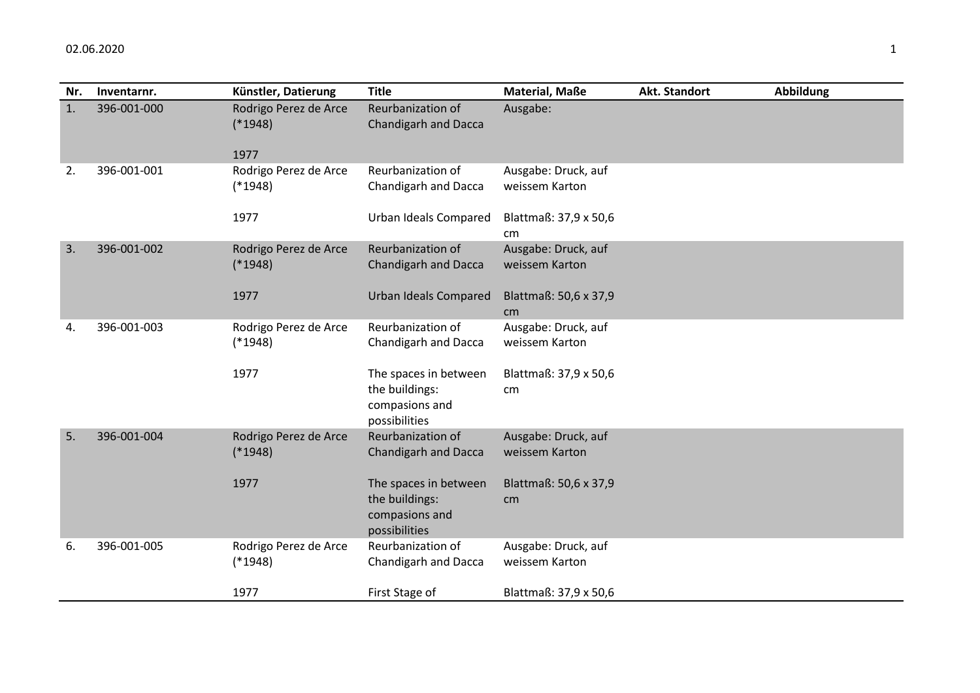| Nr. | Inventarnr. | Künstler, Datierung                | <b>Title</b>                                                               | <b>Material, Maße</b>                 | Akt. Standort | <b>Abbildung</b> |
|-----|-------------|------------------------------------|----------------------------------------------------------------------------|---------------------------------------|---------------|------------------|
| 1.  | 396-001-000 | Rodrigo Perez de Arce<br>$(*1948)$ | Reurbanization of<br>Chandigarh and Dacca                                  | Ausgabe:                              |               |                  |
|     |             | 1977                               |                                                                            |                                       |               |                  |
| 2.  | 396-001-001 | Rodrigo Perez de Arce<br>$(*1948)$ | Reurbanization of<br>Chandigarh and Dacca                                  | Ausgabe: Druck, auf<br>weissem Karton |               |                  |
|     |             | 1977                               | Urban Ideals Compared                                                      | Blattmaß: 37,9 x 50,6<br>cm           |               |                  |
| 3.  | 396-001-002 | Rodrigo Perez de Arce<br>$(*1948)$ | Reurbanization of<br><b>Chandigarh and Dacca</b>                           | Ausgabe: Druck, auf<br>weissem Karton |               |                  |
|     |             | 1977                               | <b>Urban Ideals Compared</b>                                               | Blattmaß: 50,6 x 37,9<br>cm           |               |                  |
| 4.  | 396-001-003 | Rodrigo Perez de Arce<br>$(*1948)$ | Reurbanization of<br>Chandigarh and Dacca                                  | Ausgabe: Druck, auf<br>weissem Karton |               |                  |
|     |             | 1977                               | The spaces in between<br>the buildings:<br>compasions and<br>possibilities | Blattmaß: 37,9 x 50,6<br>cm           |               |                  |
| 5.  | 396-001-004 | Rodrigo Perez de Arce<br>$(*1948)$ | Reurbanization of<br><b>Chandigarh and Dacca</b>                           | Ausgabe: Druck, auf<br>weissem Karton |               |                  |
|     |             | 1977                               | The spaces in between<br>the buildings:<br>compasions and<br>possibilities | Blattmaß: 50,6 x 37,9<br>cm           |               |                  |
| 6.  | 396-001-005 | Rodrigo Perez de Arce<br>$(*1948)$ | Reurbanization of<br>Chandigarh and Dacca                                  | Ausgabe: Druck, auf<br>weissem Karton |               |                  |
|     |             | 1977                               | First Stage of                                                             | Blattmaß: 37,9 x 50,6                 |               |                  |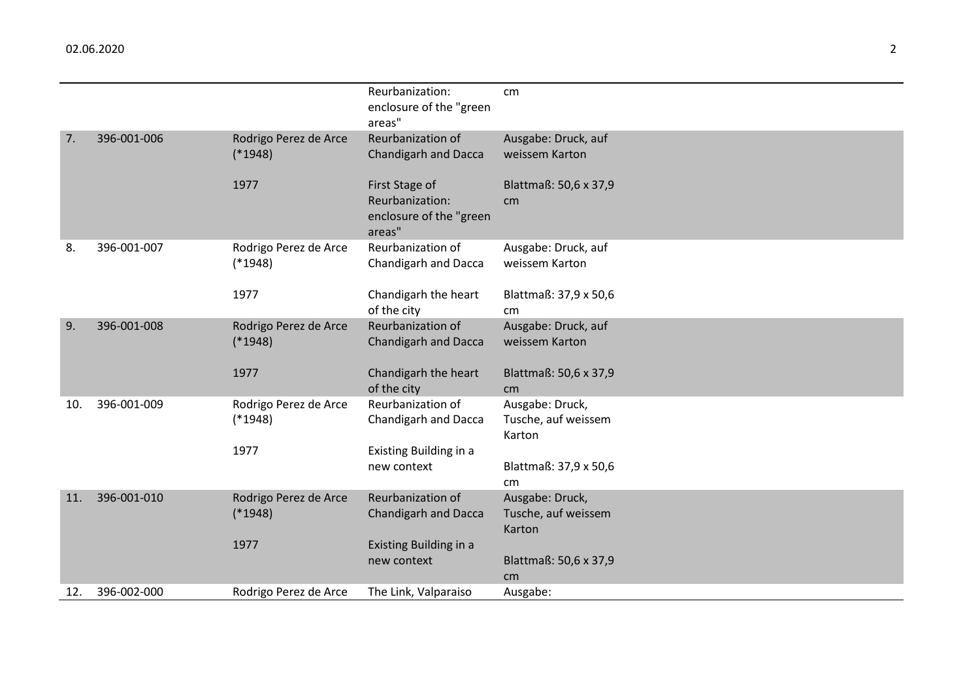|     |             |                       | Reurbanization:<br>enclosure of the "green           | cm                            |
|-----|-------------|-----------------------|------------------------------------------------------|-------------------------------|
| 7.  | 396-001-006 | Rodrigo Perez de Arce | areas"<br>Reurbanization of                          | Ausgabe: Druck, auf           |
|     |             | $(*1948)$             | <b>Chandigarh and Dacca</b>                          | weissem Karton                |
|     |             | 1977                  | First Stage of                                       | Blattmaß: 50,6 x 37,9         |
|     |             |                       | Reurbanization:<br>enclosure of the "green<br>areas" | cm                            |
| 8.  | 396-001-007 | Rodrigo Perez de Arce | Reurbanization of                                    | Ausgabe: Druck, auf           |
|     |             | $(*1948)$             | Chandigarh and Dacca                                 | weissem Karton                |
|     |             | 1977                  | Chandigarh the heart                                 | Blattmaß: 37,9 x 50,6         |
|     |             |                       | of the city                                          | cm                            |
| 9.  | 396-001-008 | Rodrigo Perez de Arce | Reurbanization of                                    | Ausgabe: Druck, auf           |
|     |             | $(*1948)$             | <b>Chandigarh and Dacca</b>                          | weissem Karton                |
|     |             | 1977                  | Chandigarh the heart                                 | Blattmaß: 50,6 x 37,9         |
|     |             |                       | of the city                                          | cm                            |
| 10. | 396-001-009 | Rodrigo Perez de Arce | Reurbanization of                                    | Ausgabe: Druck,               |
|     |             | $(*1948)$             | Chandigarh and Dacca                                 | Tusche, auf weissem<br>Karton |
|     |             | 1977                  | Existing Building in a                               |                               |
|     |             |                       | new context                                          | Blattmaß: 37,9 x 50,6         |
|     |             |                       |                                                      | cm                            |
| 11. | 396-001-010 | Rodrigo Perez de Arce | Reurbanization of                                    | Ausgabe: Druck,               |
|     |             | $(*1948)$             | <b>Chandigarh and Dacca</b>                          | Tusche, auf weissem           |
|     |             | 1977                  |                                                      | Karton                        |
|     |             |                       | Existing Building in a<br>new context                | Blattmaß: 50,6 x 37,9         |
|     |             |                       |                                                      | cm                            |
| 12. | 396-002-000 | Rodrigo Perez de Arce | The Link, Valparaiso                                 | Ausgabe:                      |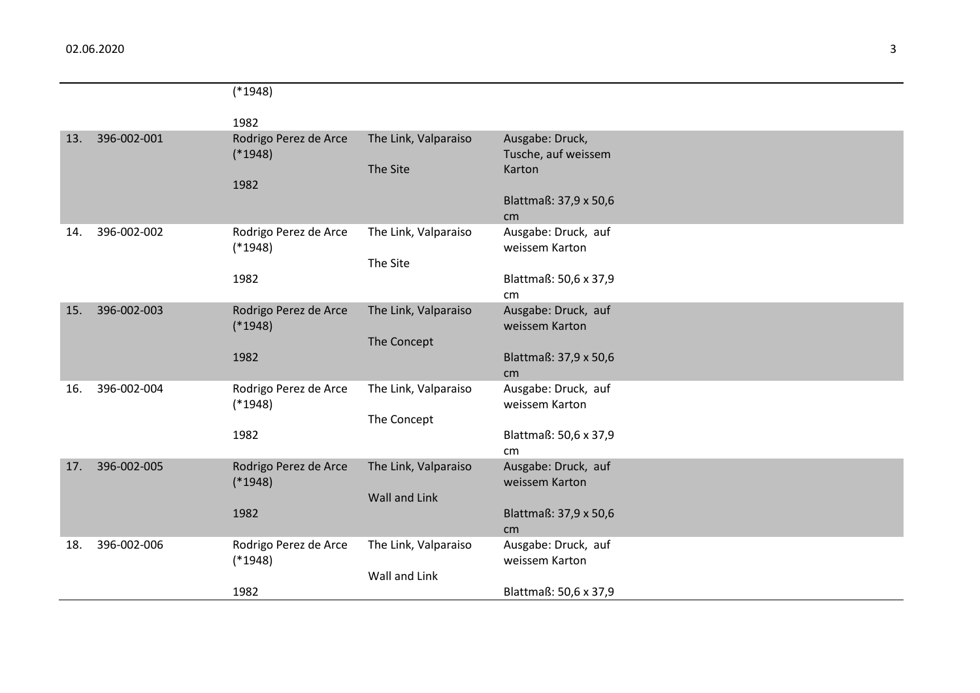|     |             | $(*1948)$                          |                      |                                        |
|-----|-------------|------------------------------------|----------------------|----------------------------------------|
|     |             | 1982                               |                      |                                        |
| 13. | 396-002-001 | Rodrigo Perez de Arce<br>$(*1948)$ | The Link, Valparaiso | Ausgabe: Druck,<br>Tusche, auf weissem |
|     |             | 1982                               | The Site             | Karton                                 |
|     |             |                                    |                      | Blattmaß: 37,9 x 50,6<br>cm            |
| 14. | 396-002-002 | Rodrigo Perez de Arce<br>$(*1948)$ | The Link, Valparaiso | Ausgabe: Druck, auf<br>weissem Karton  |
|     |             |                                    | The Site             |                                        |
|     |             | 1982                               |                      | Blattmaß: 50,6 x 37,9<br>cm            |
| 15. | 396-002-003 | Rodrigo Perez de Arce<br>$(*1948)$ | The Link, Valparaiso | Ausgabe: Druck, auf<br>weissem Karton  |
|     |             |                                    | The Concept          |                                        |
|     |             | 1982                               |                      | Blattmaß: 37,9 x 50,6                  |
|     |             |                                    |                      | cm                                     |
| 16. | 396-002-004 | Rodrigo Perez de Arce              | The Link, Valparaiso | Ausgabe: Druck, auf                    |
|     |             | $(*1948)$                          | The Concept          | weissem Karton                         |
|     |             | 1982                               |                      | Blattmaß: 50,6 x 37,9                  |
|     |             |                                    |                      | cm                                     |
| 17. | 396-002-005 | Rodrigo Perez de Arce              | The Link, Valparaiso | Ausgabe: Druck, auf                    |
|     |             | $(*1948)$                          |                      | weissem Karton                         |
|     |             |                                    | Wall and Link        |                                        |
|     |             | 1982                               |                      | Blattmaß: 37,9 x 50,6                  |
| 18. | 396-002-006 |                                    |                      | cm                                     |
|     |             | Rodrigo Perez de Arce<br>$(*1948)$ | The Link, Valparaiso | Ausgabe: Druck, auf<br>weissem Karton  |
|     |             |                                    | Wall and Link        |                                        |
|     |             | 1982                               |                      | Blattmaß: 50,6 x 37,9                  |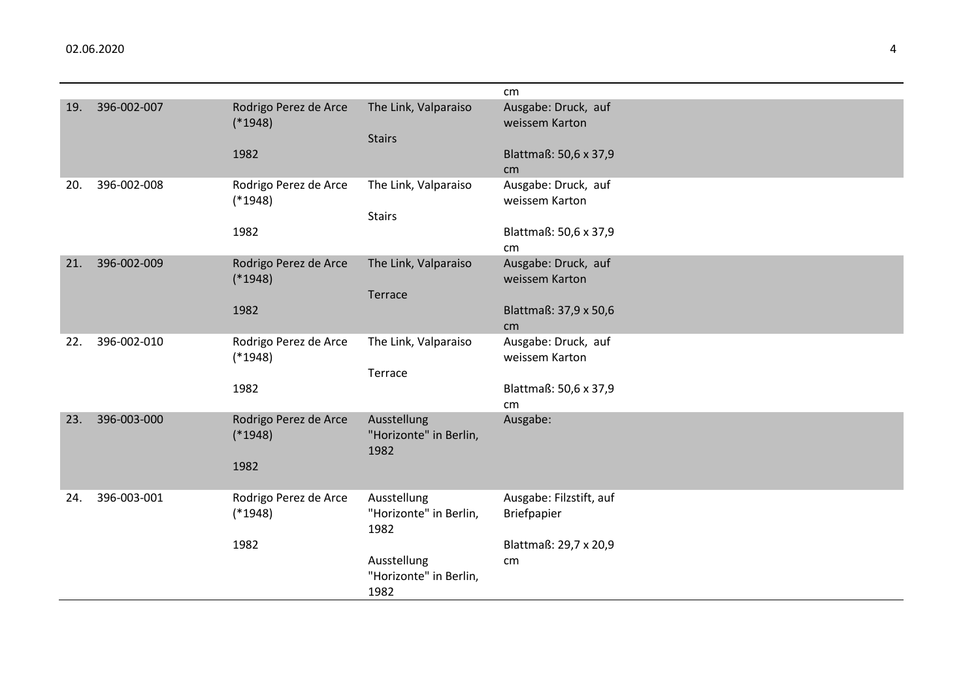|     |             |                                    |                        | cm                                    |
|-----|-------------|------------------------------------|------------------------|---------------------------------------|
| 19. | 396-002-007 | Rodrigo Perez de Arce<br>$(*1948)$ | The Link, Valparaiso   | Ausgabe: Druck, auf<br>weissem Karton |
|     |             |                                    | <b>Stairs</b>          |                                       |
|     |             | 1982                               |                        | Blattmaß: 50,6 x 37,9                 |
|     |             |                                    |                        | cm                                    |
| 20. | 396-002-008 | Rodrigo Perez de Arce              | The Link, Valparaiso   | Ausgabe: Druck, auf                   |
|     |             | $(*1948)$                          |                        | weissem Karton                        |
|     |             |                                    | <b>Stairs</b>          |                                       |
|     |             | 1982                               |                        | Blattmaß: 50,6 x 37,9                 |
|     |             |                                    |                        | cm                                    |
| 21. | 396-002-009 | Rodrigo Perez de Arce              | The Link, Valparaiso   | Ausgabe: Druck, auf                   |
|     |             | $(*1948)$                          |                        | weissem Karton                        |
|     |             |                                    | Terrace                |                                       |
|     |             | 1982                               |                        | Blattmaß: 37,9 x 50,6                 |
| 22. | 396-002-010 | Rodrigo Perez de Arce              | The Link, Valparaiso   | cm<br>Ausgabe: Druck, auf             |
|     |             | $(*1948)$                          |                        | weissem Karton                        |
|     |             |                                    | Terrace                |                                       |
|     |             | 1982                               |                        | Blattmaß: 50,6 x 37,9                 |
|     |             |                                    |                        | cm                                    |
| 23. | 396-003-000 | Rodrigo Perez de Arce              | Ausstellung            | Ausgabe:                              |
|     |             | $(*1948)$                          | "Horizonte" in Berlin, |                                       |
|     |             |                                    | 1982                   |                                       |
|     |             | 1982                               |                        |                                       |
|     |             |                                    |                        |                                       |
| 24. | 396-003-001 | Rodrigo Perez de Arce              | Ausstellung            | Ausgabe: Filzstift, auf               |
|     |             | $(*1948)$                          | "Horizonte" in Berlin, | <b>Briefpapier</b>                    |
|     |             |                                    | 1982                   |                                       |
|     |             | 1982                               |                        | Blattmaß: 29,7 x 20,9                 |
|     |             |                                    | Ausstellung            | cm                                    |
|     |             |                                    | "Horizonte" in Berlin, |                                       |
|     |             |                                    | 1982                   |                                       |